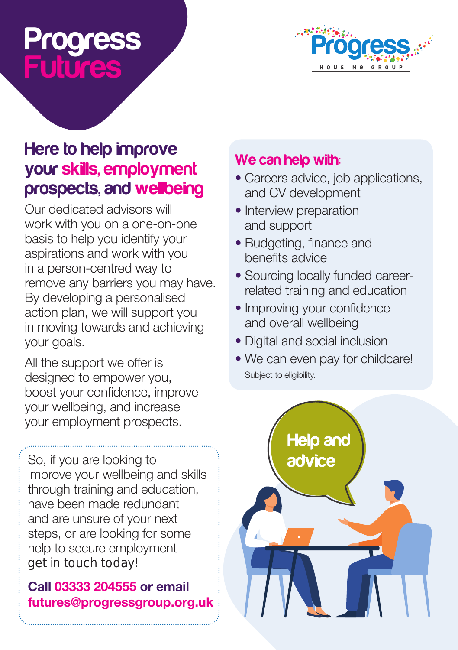# Progress Futures



## Here to help improve your skills, employment prospects, and wellbeing

Our dedicated advisors will work with you on a one-on-one basis to help you identify your aspirations and work with you in a person-centred way to remove any barriers you may have. By developing a personalised action plan, we will support you in moving towards and achieving your goals.

All the support we offer is designed to empower you, boost your confidence, improve your wellbeing, and increase your employment prospects.

So, if you are looking to improve your wellbeing and skills through training and education, have been made redundant and are unsure of your next steps, or are looking for some help to secure employment get in touch today!

### Call 03333 204555 or email futures@progressgroup.org.uk

## We can help with:

- Careers advice, job applications, and CV development
- Interview preparation and support
- Budgeting, finance and benefits advice
- Sourcing locally funded careerrelated training and education
- Improving your confidence and overall wellbeing
- Digital and social inclusion
- We can even pay for childcare! Subject to eligibility.